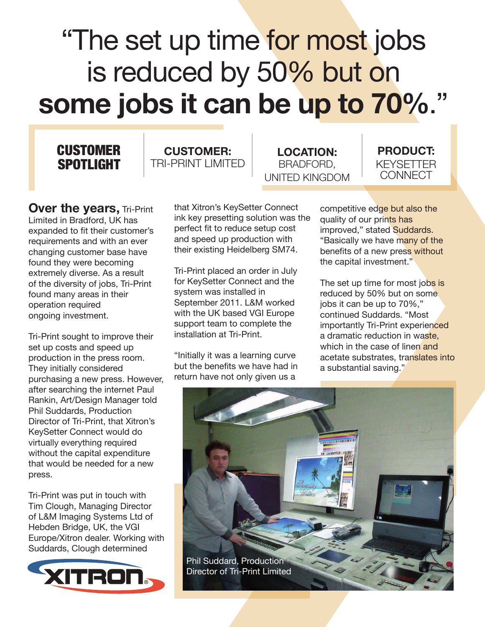## "The set up time for most jobs" is reduced by 50% but on **some jobs it can be up to 70%**."

## **CUSTOMER** SPOTLIGHT



**LOCATION:** BRADFORD, UNITED KINGDOM



**Over the years, Tri-Print** Limited in Bradford, UK has expanded to fit their customer's requirements and with an ever changing customer base have found they were becoming extremely diverse. As a result of the diversity of jobs, Tri-Print found many areas in their operation required ongoing investment.

Tri-Print sought to improve their set up costs and speed up production in the press room. They initially considered purchasing a new press. However, after searching the internet Paul Rankin, Art/Design Manager told Phil Suddards, Production Director of Tri-Print, that Xitron's KeySetter Connect would do virtually everything required without the capital expenditure that would be needed for a new press.

Tri-Print was put in touch with Tim Clough, Managing Director of L&M Imaging Systems Ltd of Hebden Bridge, UK, the VGI Europe/Xitron dealer. Working with Suddards, Clough determined



that Xitron's KeySetter Connect ink key presetting solution was the perfect fit to reduce setup cost and speed up production with their existing Heidelberg SM74.

Tri-Print placed an order in July for KeySetter Connect and the system was installed in September 2011. L&M worked with the UK based VGI Europe support team to complete the installation at Tri-Print.

"Initially it was a learning curve but the benefits we have had in return have not only given us a

competitive edge but also the quality of our prints has improved," stated Suddards. "Basically we have many of the benefits of a new press without the capital investment."

The set up time for most jobs is reduced by 50% but on some jobs it can be up to 70%," continued Suddards. "Most importantly Tri-Print experienced a dramatic reduction in waste, which in the case of linen and acetate substrates, translates into a substantial saving."